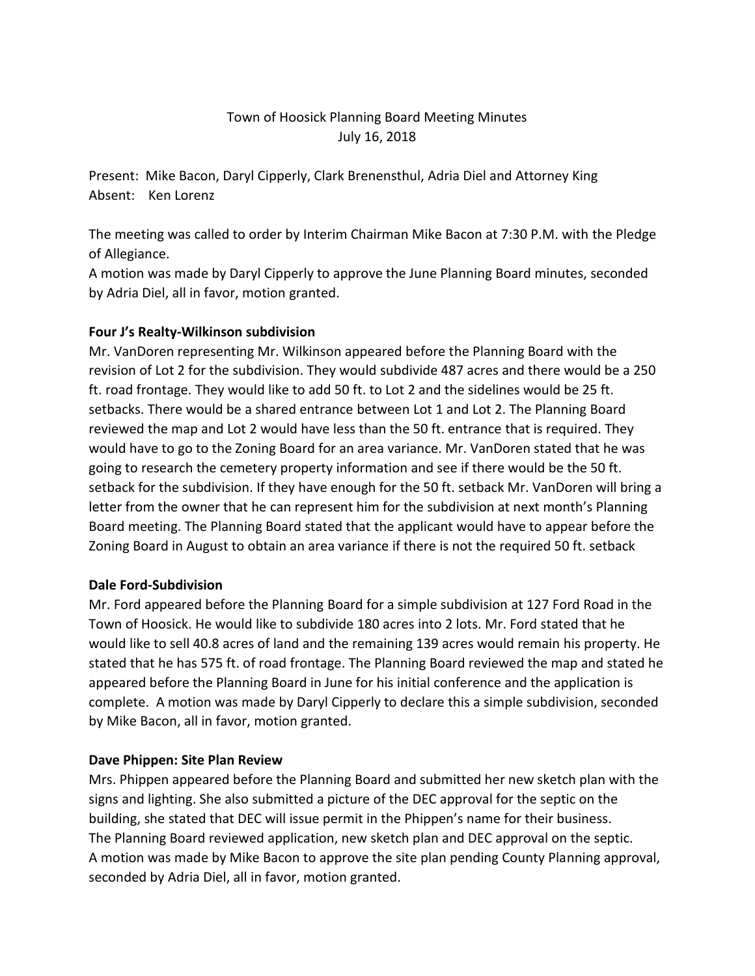# Town of Hoosick Planning Board Meeting Minutes July 16, 2018

Present: Mike Bacon, Daryl Cipperly, Clark Brenensthul, Adria Diel and Attorney King Absent: Ken Lorenz

The meeting was called to order by Interim Chairman Mike Bacon at 7:30 P.M. with the Pledge of Allegiance.

A motion was made by Daryl Cipperly to approve the June Planning Board minutes, seconded by Adria Diel, all in favor, motion granted.

## **Four J's Realty-Wilkinson subdivision**

Mr. VanDoren representing Mr. Wilkinson appeared before the Planning Board with the revision of Lot 2 for the subdivision. They would subdivide 487 acres and there would be a 250 ft. road frontage. They would like to add 50 ft. to Lot 2 and the sidelines would be 25 ft. setbacks. There would be a shared entrance between Lot 1 and Lot 2. The Planning Board reviewed the map and Lot 2 would have less than the 50 ft. entrance that is required. They would have to go to the Zoning Board for an area variance. Mr. VanDoren stated that he was going to research the cemetery property information and see if there would be the 50 ft. setback for the subdivision. If they have enough for the 50 ft. setback Mr. VanDoren will bring a letter from the owner that he can represent him for the subdivision at next month's Planning Board meeting. The Planning Board stated that the applicant would have to appear before the Zoning Board in August to obtain an area variance if there is not the required 50 ft. setback

### **Dale Ford-Subdivision**

Mr. Ford appeared before the Planning Board for a simple subdivision at 127 Ford Road in the Town of Hoosick. He would like to subdivide 180 acres into 2 lots. Mr. Ford stated that he would like to sell 40.8 acres of land and the remaining 139 acres would remain his property. He stated that he has 575 ft. of road frontage. The Planning Board reviewed the map and stated he appeared before the Planning Board in June for his initial conference and the application is complete. A motion was made by Daryl Cipperly to declare this a simple subdivision, seconded by Mike Bacon, all in favor, motion granted.

### **Dave Phippen: Site Plan Review**

Mrs. Phippen appeared before the Planning Board and submitted her new sketch plan with the signs and lighting. She also submitted a picture of the DEC approval for the septic on the building, she stated that DEC will issue permit in the Phippen's name for their business. The Planning Board reviewed application, new sketch plan and DEC approval on the septic. A motion was made by Mike Bacon to approve the site plan pending County Planning approval, seconded by Adria Diel, all in favor, motion granted.